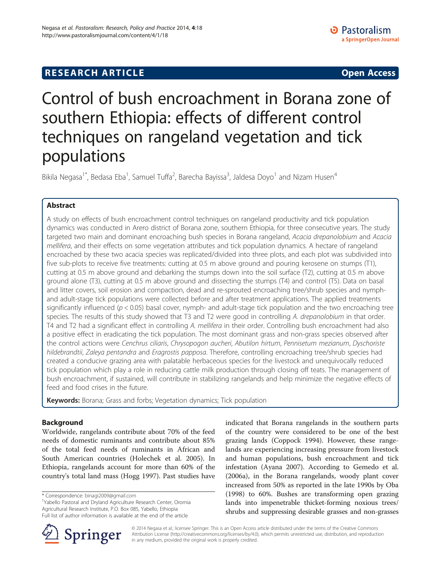

# Control of bush encroachment in Borana zone of southern Ethiopia: effects of different control techniques on rangeland vegetation and tick populations

Bikila Negasa<sup>1\*</sup>, Bedasa Eba<sup>1</sup>, Samuel Tuffa<sup>2</sup>, Barecha Bayissa<sup>3</sup>, Jaldesa Doyo<sup>1</sup> and Nizam Husen<sup>4</sup>

# Abstract

A study on effects of bush encroachment control techniques on rangeland productivity and tick population dynamics was conducted in Arero district of Borana zone, southern Ethiopia, for three consecutive years. The study targeted two main and dominant encroaching bush species in Borana rangeland, Acacia drepanolobium and Acacia mellifera, and their effects on some vegetation attributes and tick population dynamics. A hectare of rangeland encroached by these two acacia species was replicated/divided into three plots, and each plot was subdivided into five sub-plots to receive five treatments: cutting at 0.5 m above ground and pouring kerosene on stumps (T1), cutting at 0.5 m above ground and debarking the stumps down into the soil surface (T2), cutting at 0.5 m above ground alone (T3), cutting at 0.5 m above ground and dissecting the stumps (T4) and control (T5). Data on basal and litter covers, soil erosion and compaction, dead and re-sprouted encroaching tree/shrub species and nymphand adult-stage tick populations were collected before and after treatment applications. The applied treatments significantly influenced ( $p < 0.05$ ) basal cover, nymph- and adult-stage tick population and the two encroaching tree species. The results of this study showed that T3 and T2 were good in controlling A. drepanolobium in that order. T4 and T2 had a significant effect in controlling A. mellifera in their order. Controlling bush encroachment had also a positive effect in eradicating the tick population. The most dominant grass and non-grass species observed after the control actions were Cenchrus ciliaris, Chrysopogon aucheri, Abutilon hirtum, Pennisetum mezianum, Dyschoriste hildebrandtii, Zaleya pentandra and Eragrostis papposa. Therefore, controlling encroaching tree/shrub species had created a conducive grazing area with palatable herbaceous species for the livestock and unequivocally reduced tick population which play a role in reducing cattle milk production through closing off teats. The management of bush encroachment, if sustained, will contribute in stabilizing rangelands and help minimize the negative effects of feed and food crises in the future.

Keywords: Borana; Grass and forbs; Vegetation dynamics; Tick population

# Background

Worldwide, rangelands contribute about 70% of the feed needs of domestic ruminants and contribute about 85% of the total feed needs of ruminants in African and South American countries (Holechek et al. [2005\)](#page-5-0). In Ethiopia, rangelands account for more than 60% of the country's total land mass (Hogg [1997](#page-5-0)). Past studies have

<sup>1</sup>Yabello Pastoral and Dryland Agriculture Research Center, Oromia Agricultural Research Institute, P.O. Box 085, Yabello, Ethiopia Full list of author information is available at the end of the article

indicated that Borana rangelands in the southern parts of the country were considered to be one of the best grazing lands (Coppock [1994\)](#page-5-0). However, these rangelands are experiencing increasing pressure from livestock and human populations, bush encroachment and tick infestation (Ayana [2007](#page-5-0)). According to Gemedo et al. ([2006a\)](#page-5-0), in the Borana rangelands, woody plant cover increased from 50% as reported in the late 1990s by Oba ([1998\)](#page-6-0) to 60%. Bushes are transforming open grazing lands into impenetrable thicket-forming noxious trees/ shrubs and suppressing desirable grasses and non-grasses



© 2014 Negasa et al.; licensee Springer. This is an Open Access article distributed under the terms of the Creative Commons Attribution License [\(http://creativecommons.org/licenses/by/4.0\)](http://creativecommons.org/licenses/by/4.0), which permits unrestricted use, distribution, and reproduction in any medium, provided the original work is properly credited.

<sup>\*</sup> Correspondence: [binagi2009@gmail.com](mailto:binagi2009@gmail.com) <sup>1</sup>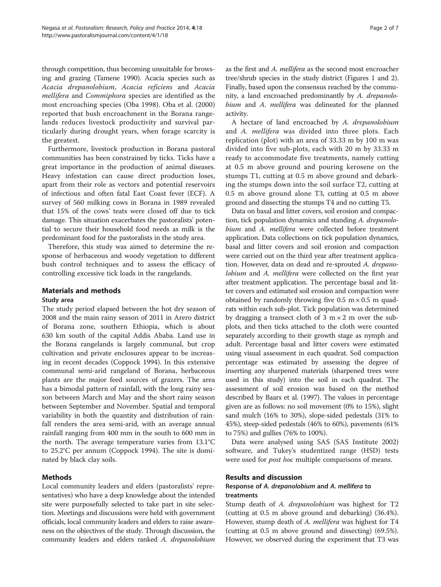through competition, thus becoming unsuitable for browsing and grazing (Tamene [1990\)](#page-6-0). Acacia species such as Acacia drepanolobium, Acacia reficiens and Acacia mellifera and Commiphora species are identified as the most encroaching species (Oba [1998](#page-6-0)). Oba et al. [\(2000](#page-6-0)) reported that bush encroachment in the Borana rangelands reduces livestock productivity and survival particularly during drought years, when forage scarcity is the greatest.

Furthermore, livestock production in Borana pastoral communities has been constrained by ticks. Ticks have a great importance in the production of animal diseases. Heavy infestation can cause direct production loses, apart from their role as vectors and potential reservoirs of infectious and often fatal East Coast fever (ECF). A survey of 560 milking cows in Borana in 1989 revealed that 15% of the cows' teats were closed off due to tick damage. This situation exacerbates the pastoralists' potential to secure their household food needs as milk is the predominant food for the pastoralists in the study area.

Therefore, this study was aimed to determine the response of herbaceous and woody vegetation to different bush control techniques and to assess the efficacy of controlling excessive tick loads in the rangelands.

# Materials and methods

## Study area

The study period elapsed between the hot dry season of 2008 and the main rainy season of 2011 in Arero district of Borana zone, southern Ethiopia, which is about 630 km south of the capital Addis Ababa. Land use in the Borana rangelands is largely communal, but crop cultivation and private enclosures appear to be increasing in recent decades (Coppock [1994\)](#page-5-0). In this extensive communal semi-arid rangeland of Borana, herbaceous plants are the major feed sources of grazers. The area has a bimodal pattern of rainfall, with the long rainy season between March and May and the short rainy season between September and November. Spatial and temporal variability in both the quantity and distribution of rainfall renders the area semi-arid, with an average annual rainfall ranging from 400 mm in the south to 600 mm in the north. The average temperature varies from 13.1°C to 25.2°C per annum (Coppock [1994](#page-5-0)). The site is dominated by black clay soils.

## Methods

Local community leaders and elders (pastoralists' representatives) who have a deep knowledge about the intended site were purposefully selected to take part in site selection. Meetings and discussions were held with government officials, local community leaders and elders to raise awareness on the objectives of the study. Through discussion, the community leaders and elders ranked A. drepanolobium

as the first and A. mellifera as the second most encroacher tree/shrub species in the study district (Figures [1](#page-2-0) and [2](#page-2-0)). Finally, based upon the consensus reached by the community, a land encroached predominantly by A. drepanolobium and A. mellifera was delineated for the planned activity.

A hectare of land encroached by A. drepanolobium and A. mellifera was divided into three plots. Each replication (plot) with an area of 33.33 m by 100 m was divided into five sub-plots, each with 20 m by 33.33 m ready to accommodate five treatments, namely cutting at 0.5 m above ground and pouring kerosene on the stumps T1, cutting at 0.5 m above ground and debarking the stumps down into the soil surface T2, cutting at 0.5 m above ground alone T3, cutting at 0.5 m above ground and dissecting the stumps T4 and no cutting T5.

Data on basal and litter covers, soil erosion and compaction, tick population dynamics and standing A. drepanolobium and A. mellifera were collected before treatment application. Data collections on tick population dynamics, basal and litter covers and soil erosion and compaction were carried out on the third year after treatment application. However, data on dead and re-sprouted A. drepanolobium and A. mellifera were collected on the first year after treatment application. The percentage basal and litter covers and estimated soil erosion and compaction were obtained by randomly throwing five  $0.5 \text{ m} \times 0.5 \text{ m}$  quadrats within each sub-plot. Tick population was determined by dragging a transect cloth of 3  $m \times 2$  m over the subplots, and then ticks attached to the cloth were counted separately according to their growth stage as nymph and adult. Percentage basal and litter covers were estimated using visual assessment in each quadrat. Soil compaction percentage was estimated by assessing the degree of inserting any sharpened materials (sharpened trees were used in this study) into the soil in each quadrat. The assessment of soil erosion was based on the method described by Baars et al. [\(1997\)](#page-5-0). The values in percentage given are as follows: no soil movement (0% to 15%), slight sand mulch (16% to 30%), slope-sided pedestals (31% to 45%), steep-sided pedestals (46% to 60%), pavements (61% to 75%) and gullies (76% to 100%).

Data were analysed using SAS (SAS Institute [2002](#page-6-0)) software, and Tukey's studentized range (HSD) tests were used for *post hoc* multiple comparisons of means.

### Results and discussion

## Response of A. drepanolobium and A. mellifera to treatments

Stump death of A. drepanolobium was highest for T2 (cutting at 0.5 m above ground and debarking) (36.4%). However, stump death of A. mellifera was highest for T4 (cutting at 0.5 m above ground and dissecting) (69.5%). However, we observed during the experiment that T3 was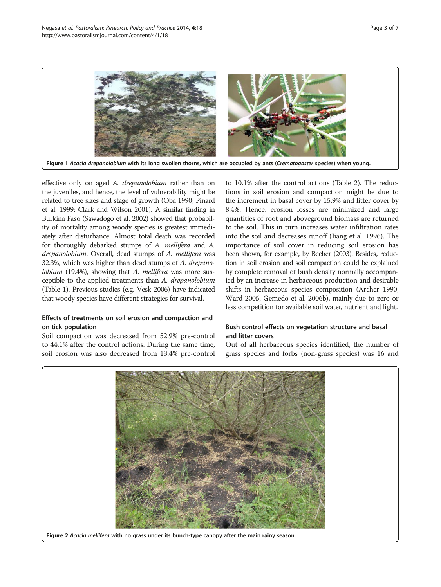

<span id="page-2-0"></span>

effective only on aged A. drepanolobium rather than on the juveniles, and hence, the level of vulnerability might be related to tree sizes and stage of growth (Oba [1990;](#page-6-0) Pinard et al. [1999](#page-6-0); Clark and Wilson [2001\)](#page-5-0). A similar finding in Burkina Faso (Sawadogo et al. [2002\)](#page-6-0) showed that probability of mortality among woody species is greatest immediately after disturbance. Almost total death was recorded for thoroughly debarked stumps of A. mellifera and A. drepanolobium. Overall, dead stumps of A. mellifera was 32.3%, which was higher than dead stumps of A. drepanolobium (19.4%), showing that A. mellifera was more susceptible to the applied treatments than A. drepanolobium (Table [1](#page-3-0)). Previous studies (e.g. Vesk [2006\)](#page-6-0) have indicated that woody species have different strategies for survival.

# Effects of treatments on soil erosion and compaction and on tick population

Soil compaction was decreased from 52.9% pre-control to 44.1% after the control actions. During the same time, soil erosion was also decreased from 13.4% pre-control

to 10.1% after the control actions (Table [2](#page-3-0)). The reductions in soil erosion and compaction might be due to the increment in basal cover by 15.9% and litter cover by 8.4%. Hence, erosion losses are minimized and large quantities of root and aboveground biomass are returned to the soil. This in turn increases water infiltration rates into the soil and decreases runoff (Jiang et al. [1996](#page-5-0)). The importance of soil cover in reducing soil erosion has been shown, for example, by Becher [\(2003\)](#page-5-0). Besides, reduction in soil erosion and soil compaction could be explained by complete removal of bush density normally accompanied by an increase in herbaceous production and desirable shifts in herbaceous species composition (Archer [1990](#page-5-0); Ward [2005](#page-6-0); Gemedo et al. [2006b\)](#page-5-0), mainly due to zero or less competition for available soil water, nutrient and light.

# Bush control effects on vegetation structure and basal and litter covers

Out of all herbaceous species identified, the number of grass species and forbs (non-grass species) was 16 and



Figure 2 Acacia mellifera with no grass under its bunch-type canopy after the main rainy season.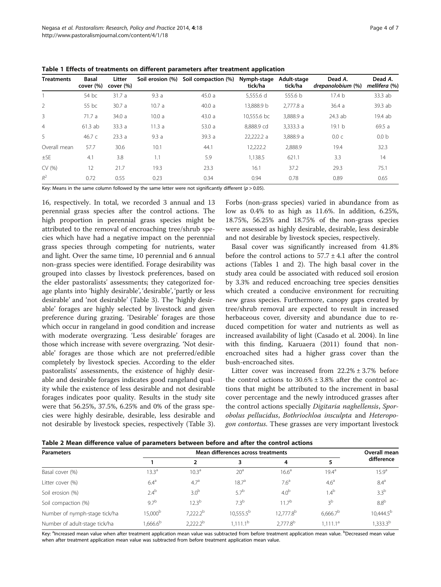| <b>Treatments</b> | <b>Basal</b><br>cover (%) | Litter<br>cover (%) |       | Soil erosion (%) Soil compaction (%) | Nymph-stage<br>tick/ha | Adult-stage<br>tick/ha | Dead A.<br>drepanolobium (%) | Dead A.<br>mellifera (%) |
|-------------------|---------------------------|---------------------|-------|--------------------------------------|------------------------|------------------------|------------------------------|--------------------------|
|                   | 54 bc                     | 31.7a               | 9.3a  | 45.0a                                | 5.555.6 d              | 555.6 b                | 17.4 <sub>b</sub>            | 33.3 ab                  |
| 2                 | 55 bc                     | 30.7a               | 10.7a | 40.0a                                | 13.888.9 b             | 2,777.8 a              | 36.4a                        | 39.3 ab                  |
| 3                 | 71.7 a                    | 34.0a               | 10.0a | 43.0a                                | 10.555.6 bc            | 3,888.9 a              | 24.3 ab                      | 19.4 ab                  |
| $\overline{4}$    | 61.3ab                    | 33.3a               | 11.3a | 53.0a                                | 8.888.9 cd             | 3,333.3 a              | 19.1 <sub>b</sub>            | 69.5 a                   |
| 5                 | 46.7 c                    | 23.3a               | 9.3a  | 39.3a                                | 22.222.2 a             | 3,888.9 a              | 0.0 c                        | 0.0 <sub>b</sub>         |
| Overall mean      | 57.7                      | 30.6                | 10.1  | 44.1                                 | 12,222.2               | 2,888.9                | 19.4                         | 32.3                     |
| ±SE               | 4.1                       | 3.8                 | 1.1   | 5.9                                  | 1.138.5                | 621.1                  | 3.3                          | 14                       |
| CV(% )            | 12                        | 21.7                | 19.3  | 23.3                                 | 16.1                   | 37.2                   | 29.3                         | 75.1                     |
| $R^2$             | 0.72                      | 0.55                | 0.23  | 0.34                                 | 0.94                   | 0.78                   | 0.89                         | 0.65                     |

<span id="page-3-0"></span>Table 1 Effects of treatments on different parameters after treatment application

Key: Means in the same column followed by the same letter were not significantly different ( $p > 0.05$ ).

16, respectively. In total, we recorded 3 annual and 13 perennial grass species after the control actions. The high proportion in perennial grass species might be attributed to the removal of encroaching tree/shrub species which have had a negative impact on the perennial grass species through competing for nutrients, water and light. Over the same time, 10 perennial and 6 annual non-grass species were identified. Forage desirability was grouped into classes by livestock preferences, based on the elder pastoralists' assessments; they categorized forage plants into 'highly desirable', 'desirable', 'partly or less desirable' and 'not desirable' (Table [3\)](#page-4-0). The 'highly desirable' forages are highly selected by livestock and given preference during grazing. 'Desirable' forages are those which occur in rangeland in good condition and increase with moderate overgrazing. 'Less desirable' forages are those which increase with severe overgrazing. 'Not desirable' forages are those which are not preferred/edible completely by livestock species. According to the elder pastoralists' assessments, the existence of highly desirable and desirable forages indicates good rangeland quality while the existence of less desirable and not desirable forages indicates poor quality. Results in the study site were that 56.25%, 37.5%, 6.25% and 0% of the grass species were highly desirable, desirable, less desirable and not desirable by livestock species, respectively (Table [3](#page-4-0)).

Forbs (non-grass species) varied in abundance from as low as 0.4% to as high as 11.6%. In addition, 6.25%, 18.75%, 56.25% and 18.75% of the non-grass species were assessed as highly desirable, desirable, less desirable and not desirable by livestock species, respectively.

Basal cover was significantly increased from 41.8% before the control actions to  $57.7 \pm 4.1$  after the control actions (Tables 1 and 2). The high basal cover in the study area could be associated with reduced soil erosion by 3.3% and reduced encroaching tree species densities which created a conducive environment for recruiting new grass species. Furthermore, canopy gaps created by tree/shrub removal are expected to result in increased herbaceous cover, diversity and abundance due to reduced competition for water and nutrients as well as increased availability of light (Casado et al. [2004](#page-5-0)). In line with this finding, Karuaera ([2011](#page-5-0)) found that nonencroached sites had a higher grass cover than the bush-encroached sites.

Litter cover was increased from  $22.2\% \pm 3.7\%$  before the control actions to  $30.6\% \pm 3.8\%$  after the control actions that might be attributed to the increment in basal cover percentage and the newly introduced grasses after the control actions specially Digitaria naghellensis, Sporobolus pellucidus, Bothriochloa insculpta and Heteropogon contortus. These grasses are very important livestock

Table 2 Mean difference value of parameters between before and after the control actions

| <u>iwwie = incum uniciality funus of purunceers wetheen weivie unu uiter the control uttions</u> |                     |                      |                   |                       |                      |                       |  |  |
|--------------------------------------------------------------------------------------------------|---------------------|----------------------|-------------------|-----------------------|----------------------|-----------------------|--|--|
| <b>Parameters</b>                                                                                |                     | Overall mean         |                   |                       |                      |                       |  |  |
|                                                                                                  |                     |                      |                   | 4                     |                      | difference            |  |  |
| Basal cover (%)                                                                                  | $13.3^{\circ}$      | 10.3 <sup>a</sup>    | 20 <sup>a</sup>   | $16.6^a$              | $19.4^{\circ}$       | 15.9 <sup>a</sup>     |  |  |
| Litter cover (%)                                                                                 | 6.4 <sup>a</sup>    | 4.7 <sup>a</sup>     | 18.7 <sup>a</sup> | 7.6 <sup>a</sup>      | 4.6 <sup>a</sup>     | 8.4 <sup>a</sup>      |  |  |
| Soil erosion (%)                                                                                 | $2.4^b$             | 3.0 <sup>b</sup>     | $5.7^{b}$         | 4.0 <sup>b</sup>      | $1.4^b$              | 3.3 <sup>b</sup>      |  |  |
| Soil compaction (%)                                                                              | $9.7^{b}$           | $12.3^{b}$           | $7.3^{b}$         | $117^{b}$             | 3 <sup>b</sup>       | 8.8 <sup>b</sup>      |  |  |
| Number of nymph-stage tick/ha                                                                    | 15,000 <sup>b</sup> | 7,222.2 <sup>b</sup> | $10.555.5^{b}$    | 12.777.8 <sup>b</sup> | 6.666.7 <sup>b</sup> | 10,444.5 <sup>b</sup> |  |  |
| Number of adult-stage tick/ha                                                                    | $1.666.6^{\rm b}$   | $2,222.2^b$          | $1.111.1^{b}$     | $2.777.8^{b}$         | 1.111.1 <sup>a</sup> | $1,333.3^{b}$         |  |  |

Key: <sup>a</sup>lncreased mean value when after treatment application mean value was subtracted from before treatment application mean value. <sup>b</sup>Decreased mean value when after treatment application mean value was subtracted from before treatment application mean value.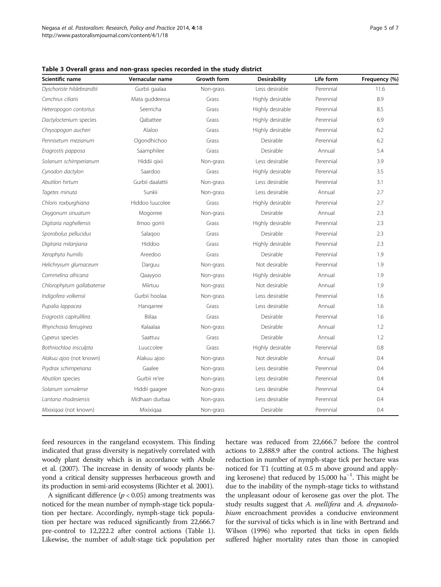<span id="page-4-0"></span>Table 3 Overall grass and non-grass species recorded in the study district

| Scientific name           | Vernacular name  | Growth form | <b>Desirability</b> | Life form | Frequency (%) |
|---------------------------|------------------|-------------|---------------------|-----------|---------------|
| Dyschoriste hildebrandtii | Gurbii gaalaa    | Non-grass   | Less desirable      | Perennial | 11.6          |
| Cenchrus ciliaris         | Mata guddeessa   | Grass       | Highly desirable    | Perennial | 8.9           |
| Heteropogon contortus     | Seerricha        | Grass       | Highly desirable    | Perennial | 8.5           |
| Dactyloctenium species    | Qabattee         | Grass       | Highly desirable    | Perennial | 6.9           |
| Chrysopogon aucheri       | Alaloo           | Grass       | Highly desirable    | Perennial | 6.2           |
| Pennisetum mezianum       | Ogondhichoo      | Grass       | Desirable           | Perennial | 6.2           |
| Eragrostis papposa        | Saamphilee       | Grass       | Desirable           | Annual    | 5.4           |
| Solanum schimperianum     | Hiddii gixii     | Non-grass   | Less desirable      | Perennial | 3.9           |
| Cynodon dactylon          | Saardoo          | Grass       | Highly desirable    | Perennial | 3.5           |
| Abutilon hirtum           | Gurbii daalattii | Non-grass   | Less desirable      | Perennial | 3.1           |
| Tagetes minuta            | Sunkii           | Non-grass   | Less desirable      | Annual    | 2.7           |
| Chloris roxburghiana      | Hiddoo luucolee  | Grass       | Highly desirable    | Perennial | 2.7           |
| Oxygonum sinuatum         | Mogorree         | Non-grass   | Desirable           | Annual    | 2.3           |
| Digitaria naghellensis    | Ilmoo gorrii     | Grass       | Highly desirable    | Perennial | 2.3           |
| Sporobolus pellucidus     | Salaqoo          | Grass       | Desirable           | Perennial | 2.3           |
| Digitaria milanjiana      | Hiddoo           | Grass       | Highly desirable    | Perennial | 2.3           |
| Xerophyta humilis         | Areedoo          | Grass       | Desirable           | Perennial | 1.9           |
| Helichrysum glumaceum     | Darguu           | Non-grass   | Not desirable       | Perennial | 1.9           |
| Commelina africana        | Qaayyoo          | Non-grass   | Highly desirable    | Annual    | 1.9           |
| Chlorophytum gallabatense | Miirtuu          | Non-grass   | Not desirable       | Annual    | 1.9           |
| Indigofera volkensii      | Gurbii hoolaa    | Non-grass   | Less desirable      | Perennial | 1.6           |
| Pupalia lappacea          | Hangarree        | Grass       | Less desirable      | Annual    | 1.6           |
| Eragrostis capitulifera   | <b>Biilaa</b>    | Grass       | Desirable           | Perennial | 1.6           |
| Rhynchosia ferruginea     | Kalaalaa         | Non-grass   | Desirable           | Annual    | 1.2           |
| Cyperus species           | Saattuu          | Grass       | Desirable           | Annual    | 1.2           |
| Bothriochloa insculpta    | Luuccolee        | Grass       | Highly desirable    | Perennial | 0.8           |
| Alakuu ajoo (not known)   | Alakuu ajoo      | Non-grass   | Not desirable       | Annual    | 0.4           |
| Psydrax schimperiana      | Gaalee           | Non-grass   | Less desirable      | Perennial | 0.4           |
| Abutilon species          | Gurbii re'ee     | Non-grass   | Less desirable      | Perennial | 0.4           |
| Solanum somalense         | Hiddii gaagee    | Non-grass   | Less desirable      | Perennial | 0.4           |
| Lantana rhodesiensis      | Midhaan durbaa   | Non-grass   | Less desirable      | Perennial | 0.4           |
| Mixixiqaa (not known)     | Mixixigaa        | Non-grass   | Desirable           | Perennial | 0.4           |

feed resources in the rangeland ecosystem. This finding indicated that grass diversity is negatively correlated with woody plant density which is in accordance with Abule et al. [\(2007](#page-5-0)). The increase in density of woody plants beyond a critical density suppresses herbaceous growth and its production in semi-arid ecosystems (Richter et al. [2001\)](#page-6-0).

A significant difference  $(p < 0.05)$  among treatments was noticed for the mean number of nymph-stage tick population per hectare. Accordingly, nymph-stage tick population per hectare was reduced significantly from 22,666.7 pre-control to 12,222.2 after control actions (Table [1](#page-3-0)). Likewise, the number of adult-stage tick population per hectare was reduced from 22,666.7 before the control actions to 2,888.9 after the control actions. The highest reduction in number of nymph-stage tick per hectare was noticed for T1 (cutting at 0.5 m above ground and applying kerosene) that reduced by 15,000 ha−<sup>1</sup> . This might be due to the inability of the nymph-stage ticks to withstand the unpleasant odour of kerosene gas over the plot. The study results suggest that A. mellifera and A. drepanolobium encroachment provides a conducive environment for the survival of ticks which is in line with Bertrand and Wilson [\(1996\)](#page-5-0) who reported that ticks in open fields suffered higher mortality rates than those in canopied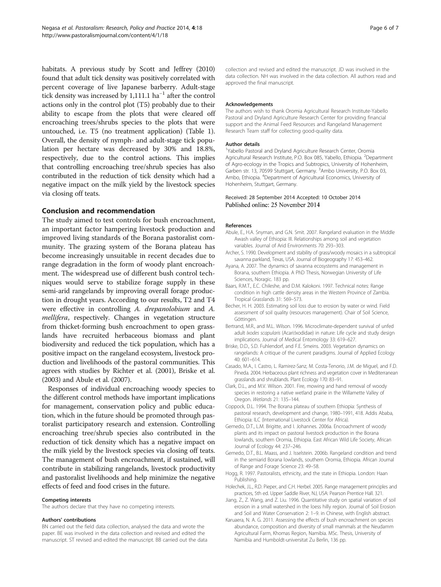<span id="page-5-0"></span>habitats. A previous study by Scott and Jeffrey [\(2010](#page-6-0)) found that adult tick density was positively correlated with percent coverage of live Japanese barberry. Adult-stage tick density was increased by 1,111.1 ha<sup> $-1$ </sup> after the control actions only in the control plot (T5) probably due to their ability to escape from the plots that were cleared off encroaching trees/shrubs species to the plots that were untouched, i.e. T5 (no treatment application) (Table [1](#page-3-0)). Overall, the density of nymph- and adult-stage tick population per hectare was decreased by 30% and 18.8%, respectively, due to the control actions. This implies that controlling encroaching tree/shrub species has also contributed in the reduction of tick density which had a negative impact on the milk yield by the livestock species via closing off teats.

## Conclusion and recommendation

The study aimed to test controls for bush encroachment, an important factor hampering livestock production and improved living standards of the Borana pastoralist community. The grazing system of the Borana plateau has become increasingly unsuitable in recent decades due to range degradation in the form of woody plant encroachment. The widespread use of different bush control techniques would serve to stabilize forage supply in these semi-arid rangelands by improving overall forage production in drought years. According to our results, T2 and T4 were effective in controlling A. drepanolobium and A. mellifera, respectively. Changes in vegetation structure from thicket-forming bush encroachment to open grasslands have recruited herbaceous biomass and plant biodiversity and reduced the tick population, which has a positive impact on the rangeland ecosystem, livestock production and livelihoods of the pastoral communities. This agrees with studies by Richter et al. ([2001](#page-6-0)), Briske et al. (2003) and Abule et al. (2007).

Responses of individual encroaching woody species to the different control methods have important implications for management, conservation policy and public education, which in the future should be promoted through pastoralist participatory research and extension. Controlling encroaching tree/shrub species also contributed in the reduction of tick density which has a negative impact on the milk yield by the livestock species via closing off teats. The management of bush encroachment, if sustained, will contribute in stabilizing rangelands, livestock productivity and pastoralist livelihoods and help minimize the negative effects of feed and food crises in the future.

#### Competing interests

The authors declare that they have no competing interests.

#### Authors' contributions

BN carried out the field data collection, analysed the data and wrote the paper. BE was involved in the data collection and revised and edited the manuscript. ST revised and edited the manuscript. BB carried out the data

collection and revised and edited the manuscript. JD was involved in the data collection. NH was involved in the data collection. All authors read and approved the final manuscript.

#### Acknowledgements

The authors wish to thank Oromia Agricultural Research Institute-Yabello Pastoral and Dryland Agriculture Research Center for providing financial support and the Animal Feed Resources and Rangeland Management Research Team staff for collecting good-quality data.

#### Author details

<sup>1</sup>Yabello Pastoral and Dryland Agriculture Research Center, Oromia Agricultural Research Institute, P.O. Box 085, Yabello, Ethiopia. <sup>2</sup>Department of Agro-ecology in the Tropics and Subtropics, University of Hohenheim, Garben str. 13, 70599 Stuttgart, Germany. <sup>3</sup>Ambo University, P.O. Box 03 Ambo, Ethiopia. <sup>4</sup>Department of Agricultural Economics, University of Hohenheim, Stuttgart, Germany.

#### Received: 28 September 2014 Accepted: 10 October 2014 Published online: 25 November 2014

#### References

- Abule, E., H.A. Snyman, and G.N. Smit. 2007. Rangeland evaluation in the Middle Awash valley of Ethiopia: III. Relationships among soil and vegetation variables. Journal of Arid Environments 70: 293–303.
- Archer, S. 1990. Development and stability of grass/woody mosaics in a subtropical savanna parkland, Texas, USA. Journal of Biogeography 17: 453–462.
- Ayana, A. 2007. The dynamics of savanna ecosystems and management in Borana, southern Ethiopia. A PhD Thesis, Norwegian University of Life Sciences, Noragic. 183 pp.
- Baars, R.M.T., E.C. Chileshe, and D.M. Kalokoni. 1997. Technical notes: Range condition in high cattle density areas in the Western Province of Zambia. Tropical Grasslands 31: 569–573.
- Becher, H. H. 2003. Estimating soil loss due to erosion by water or wind. Field assessment of soil quality (resources management). Chair of Soil Science, Göttingen.
- Bertrand, M.R., and M.L. Wilson. 1996. Microclimate-dependent survival of unfed adult Ixodes scapularis (Acari:Ixodidae) in nature: Life cycle and study design implications. Journal of Medical Entomology 33: 619–627.
- Briske, D.D., S.D. Fuhlendorf, and F.E. Smeins. 2003. Vegetation dynamics on rangelands: A critique of the current paradigms. Journal of Applied Ecology 40: 601–614.
- Casado, M.A., I. Castro, L. Ramirez-Sanz, M. Costa-Tenorio, J.M. de Miguel, and F.D. Pineda. 2004. Herbaceous plant richness and vegetation cover in Mediterranean grasslands and shrublands. Plant Ecology 170: 83–91.
- Clark, D.L., and M.V. Wilson. 2001. Fire, mowing and hand removal of woody species in restoring a native wetland prairie in the Willamette Valley of Oregon. Wetlands 21: 135–144.
- Coppock, D.L. 1994. The Borana plateau of southern Ethiopia: Synthesis of pastoral research, development and change, 1980–1991, 418. Addis Ababa, Ethiopia: ILC (International Livestock Center for Africa).
- Gemedo, D.T., L.M. Brigitte, and I. Johannes. 2006a. Encroachment of woody plants and its impact on pastoral livestock production in the Borana lowlands, southern Oromia, Ethiopia. East African Wild Life Society, African Journal of Ecology 44: 237–246.
- Gemedo, D.T., B.L. Maass, and J. Isselstein. 2006b. Rangeland condition and trend in the semiarid Borana lowlands, southern Oromia, Ethiopia. African Journal of Range and Forage Science 23: 49–58.
- Hogg, R. 1997. Pastoralists, ethnicity, and the state in Ethiopia. London: Haan Publishing.
- Holechek, J.L., R.D. Pieper, and C.H. Herbel. 2005. Range management principles and practices, 5th ed. Upper Saddle River, NJ, USA: Pearson Prentice Hall. 321.
- Jiang, Z., Z. Wang, and Z. Liu. 1996. Quantitative study on spatial variation of soil erosion in a small watershed in the loess hilly region. Journal of Soil Erosion and Soil and Water Conservation 2: 1–9. in Chinese, with English abstract.
- Karuaera, N. A. G. 2011. Assessing the effects of bush encroachment on species abundance, composition and diversity of small mammals at the Neudamm Agricultural Farm, Khomas Region, Namibia. MSc. Thesis, University of Namibia and Humboldt-universitat Zu Berlin, 136 pp.